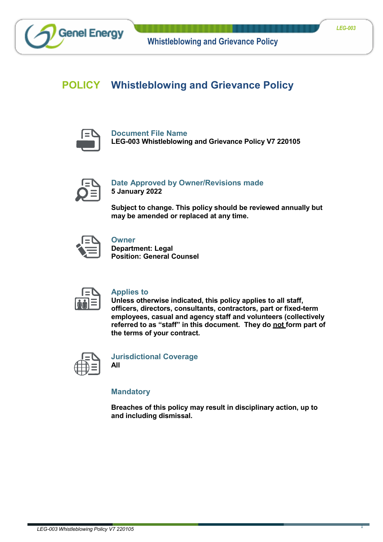# **POLICY Whistleblowing and Grievance Policy**



**Genel Energy** 

**Document File Name LEG-003 Whistleblowing and Grievance Policy V7 220105**



# **Date Approved by Owner/Revisions made 5 January 2022**

**Subject to change. This policy should be reviewed annually but may be amended or replaced at any time.**



# **Owner**

**Department: Legal Position: General Counsel**



### **Applies to**

**Unless otherwise indicated, this policy applies to all staff, officers, directors, consultants, contractors, part or fixed-term employees, casual and agency staff and volunteers (collectively referred to as "staff" in this document. They do not form part of the terms of your contract.**



**Jurisdictional Coverage All**

**Mandatory**

**Breaches of this policy may result in disciplinary action, up to and including dismissal.**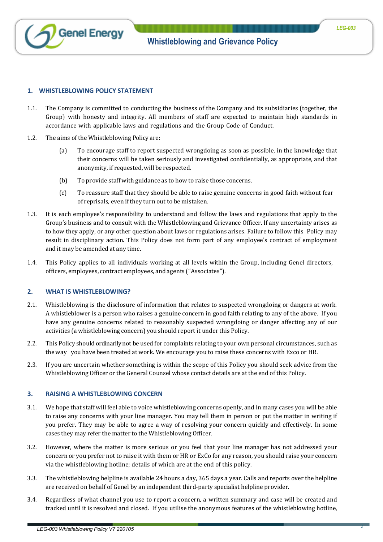

#### **1. WHISTLEBLOWING POLICY STATEMENT**

- 1.1. The Company is committed to conducting the business of the Company and its subsidiaries (together, the Group) with honesty and integrity. All members of staff are expected to maintain high standards in accordance with applicable laws and regulations and the Group Code of Conduct.
- 1.2. The aims of the Whistleblowing Policy are:
	- (a) To encourage staff to report suspected wrongdoing as soon as possible, in the knowledge that their concerns will be taken seriously and investigated confidentially, as appropriate, and that anonymity, if requested, will be respected.
	- (b) To provide staff with guidance as to how to raise those concerns.
	- (c) To reassure staff that they should be able to raise genuine concerns in good faith without fear of reprisals, even if they turn out to be mistaken.
- 1.3. It is each employee's responsibility to understand and follow the laws and regulations that apply to the Group's business and to consult with the Whistleblowing and Grievance Officer. If any uncertainty arises as to how they apply, or any other question about laws or regulations arises. Failure to follow this Policy may result in disciplinary action. This Policy does not form part of any employee's contract of employment and it may be amended at any time.
- 1.4. This Policy applies to all individuals working at all levels within the Group, including Genel directors, officers, employees, contract employees, and agents ("Associates").

#### **2. WHAT IS WHISTLEBLOWING?**

- 2.1. Whistleblowing is the disclosure of information that relates to suspected wrongdoing or dangers at work. A whistleblower is a person who raises a genuine concern in good faith relating to any of the above. If you have any genuine concerns related to reasonably suspected wrongdoing or danger affecting any of our activities (a whistleblowing concern) you should report it under this Policy.
- 2.2. This Policy should ordinarily not be used for complaints relating to your own personal circumstances, such as the way you have been treated at work. We encourage you to raise these concerns with Exco or HR.
- 2.3. If you are uncertain whether something is within the scope of this Policy you should seek advice from the Whistleblowing Officer or the General Counsel whose contact details are at the end of this Policy.

#### **3. RAISING A WHISTLEBLOWING CONCERN**

- 3.1. We hope that staff will feel able to voice whistleblowing concerns openly, and in many cases you will be able to raise any concerns with your line manager. You may tell them in person or put the matter in writing if you prefer. They may be able to agree a way of resolving your concern quickly and effectively. In some cases they may refer the matter to the Whistleblowing Officer.
- 3.2. However, where the matter is more serious or you feel that your line manager has not addressed your concern or you prefer not to raise it with them or HR or ExCo for any reason, you should raise your concern via the whistleblowing hotline; details of which are at the end of this policy.
- 3.3. The whistleblowing helpline is available 24 hours a day, 365 days a year. Calls and reports over the helpline are received on behalf of Genel by an independent third-party specialist helpline provider.
- 3.4. Regardless of what channel you use to report a concern, a written summary and case will be created and tracked until it is resolved and closed. If you utilise the anonymous features of the whistleblowing hotline,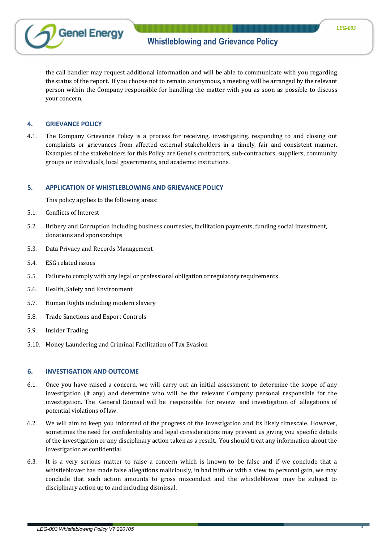

the call handler may request additional information and will be able to communicate with you regarding the status of the report. If you choose not to remain anonymous, a meeting will be arranged by the relevant person within the Company responsible for handling the matter with you as soon as possible to discuss your concern.

#### **4. GRIEVANCE POLICY**

4.1. The Company Grievance Policy is a process for receiving, investigating, responding to and closing out complaints or grievances from affected external stakeholders in a timely, fair and consistent manner. Examples of the stakeholders for this Policy are Genel's contractors, sub-contractors, suppliers, community groups or individuals, local governments, and academic institutions.

#### **5. APPLICATION OF WHISTLEBLOWING AND GRIEVANCE POLICY**

This policy applies to the following areas:

- 5.1. Conflicts of Interest
- 5.2. Bribery and Corruption including business courtesies, facilitation payments, funding social investment, donations and sponsorships
- 5.3. Data Privacy and Records Management
- 5.4. ESG related issues
- 5.5. Failure to comply with any legal or professional obligation or regulatory requirements
- 5.6. Health, Safety and Environment
- 5.7. Human Rights including modern slavery
- 5.8. Trade Sanctions and Export Controls
- 5.9. Insider Trading
- 5.10. Money Laundering and Criminal Facilitation of Tax Evasion

#### **6. INVESTIGATION AND OUTCOME**

- 6.1. Once you have raised a concern, we will carry out an initial assessment to determine the scope of any investigation (if any) and determine who will be the relevant Company personal responsible for the investigation. The General Counsel will be responsible for review and investigation of allegations of potential violations of law.
- 6.2. We will aim to keep you informed of the progress of the investigation and its likely timescale. However, sometimes the need for confidentiality and legal considerations may prevent us giving you specific details of the investigation or any disciplinary action taken as a result. You should treat any information about the investigation as confidential.
- 6.3. It is a very serious matter to raise a concern which is known to be false and if we conclude that a whistleblower has made false allegations maliciously, in bad faith or with a view to personal gain, we may conclude that such action amounts to gross misconduct and the whistleblower may be subject to disciplinary action up to and including dismissal.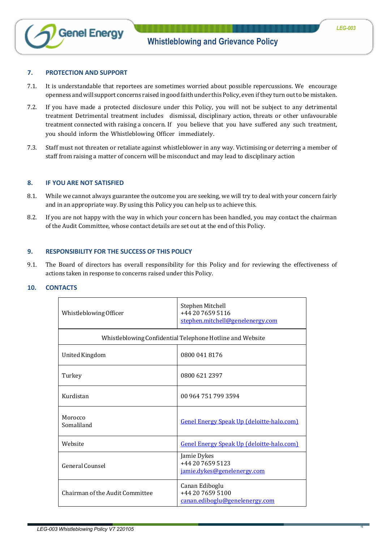

#### **7. PROTECTION AND SUPPORT**

- 7.1. It is understandable that reportees are sometimes worried about possible repercussions. We encourage openness and will support concerns raised in good faith under this Policy, even if they turn out to be mistaken.
- 7.2. If you have made a protected disclosure under this Policy, you will not be subject to any detrimental treatment Detrimental treatment includes dismissal, disciplinary action, threats or other unfavourable treatment connected with raising a concern. If you believe that you have suffered any such treatment, you should inform the Whistleblowing Officer immediately.
- 7.3. Staff must not threaten or retaliate against whistleblower in any way. Victimising or deterring a member of staff from raising a matter of concern will be misconduct and may lead to disciplinary action

#### **8. IF YOU ARE NOT SATISFIED**

- 8.1. While we cannot always guarantee the outcome you are seeking, we will try to deal with your concern fairly and in an appropriate way. By using this Policy you can help us to achieve this.
- 8.2. If you are not happy with the way in which your concern has been handled, you may contact the chairman of the Audit Committee, whose contact details are set out at the end of this Policy.

#### **9. RESPONSIBILITY FOR THE SUCCESS OF THIS POLICY**

9.1. The Board of directors has overall responsibility for this Policy and for reviewing the effectiveness of actions taken in response to concerns raised under this Policy.

#### **10. CONTACTS**

| Whistleblowing Officer                                    | Stephen Mitchell<br>+44 20 7659 5116<br>stephen.mitchell@genelenergy.com    |  |
|-----------------------------------------------------------|-----------------------------------------------------------------------------|--|
| Whistleblowing Confidential Telephone Hotline and Website |                                                                             |  |
| <b>United Kingdom</b>                                     | 0800 041 8176                                                               |  |
| Turkey                                                    | 0800 621 2397                                                               |  |
| Kurdistan                                                 | 00 964 751 799 3594                                                         |  |
| Morocco<br>Somaliland                                     | Genel Energy Speak Up (deloitte-halo.com)                                   |  |
| Website                                                   | <b>Genel Energy Speak Up (deloitte-halo.com)</b>                            |  |
| General Counsel                                           | Jamie Dykes<br>+44 20 7659 5123<br>jamie.dykes@genelenergy.com              |  |
| Chairman of the Audit Committee                           | Canan Ediboglu<br>+44 20 7659 5100<br><u>canan.ediboglu@genelenergy.com</u> |  |